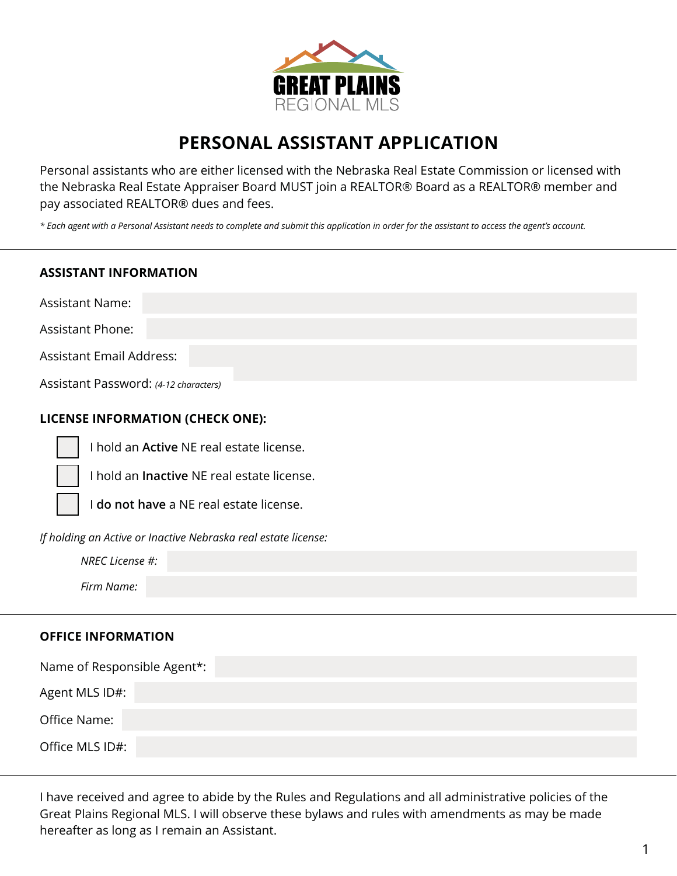

# **PERSONAL ASSISTANT APPLICATION**

Personal assistants who are either licensed with the Nebraska Real Estate Commission or licensed with the Nebraska Real Estate Appraiser Board MUST join a REALTOR® Board as a REALTOR® member and pay associated REALTOR® dues and fees.

*\* Each agent with a Personal Assistant needs to complete and submit this application in order for the assistant to access the agent's account.*

## **ASSISTANT INFORMATION**

Assistant Name:

Assistant Phone:

Assistant Email Address:

Assistant Password: *(4-12 characters)*

## **LICENSE INFORMATION (CHECK ONE):**

I hold an **Active** NE real estate license.

I hold an **Inactive** NE real estate license.

I **do not have** a NE real estate license.

*If holding an Active or Inactive Nebraska real estate license:*

*NREC License #:*

*Firm Name:*

#### **OFFICE INFORMATION**

| Name of Responsible Agent*: |
|-----------------------------|
| Agent MLS ID#:              |
| Office Name:                |
| Office MLS ID#:             |

I have received and agree to abide by the Rules and Regulations and all administrative policies of the Great Plains Regional MLS. I will observe these bylaws and rules with amendments as may be made hereafter as long as I remain an Assistant.